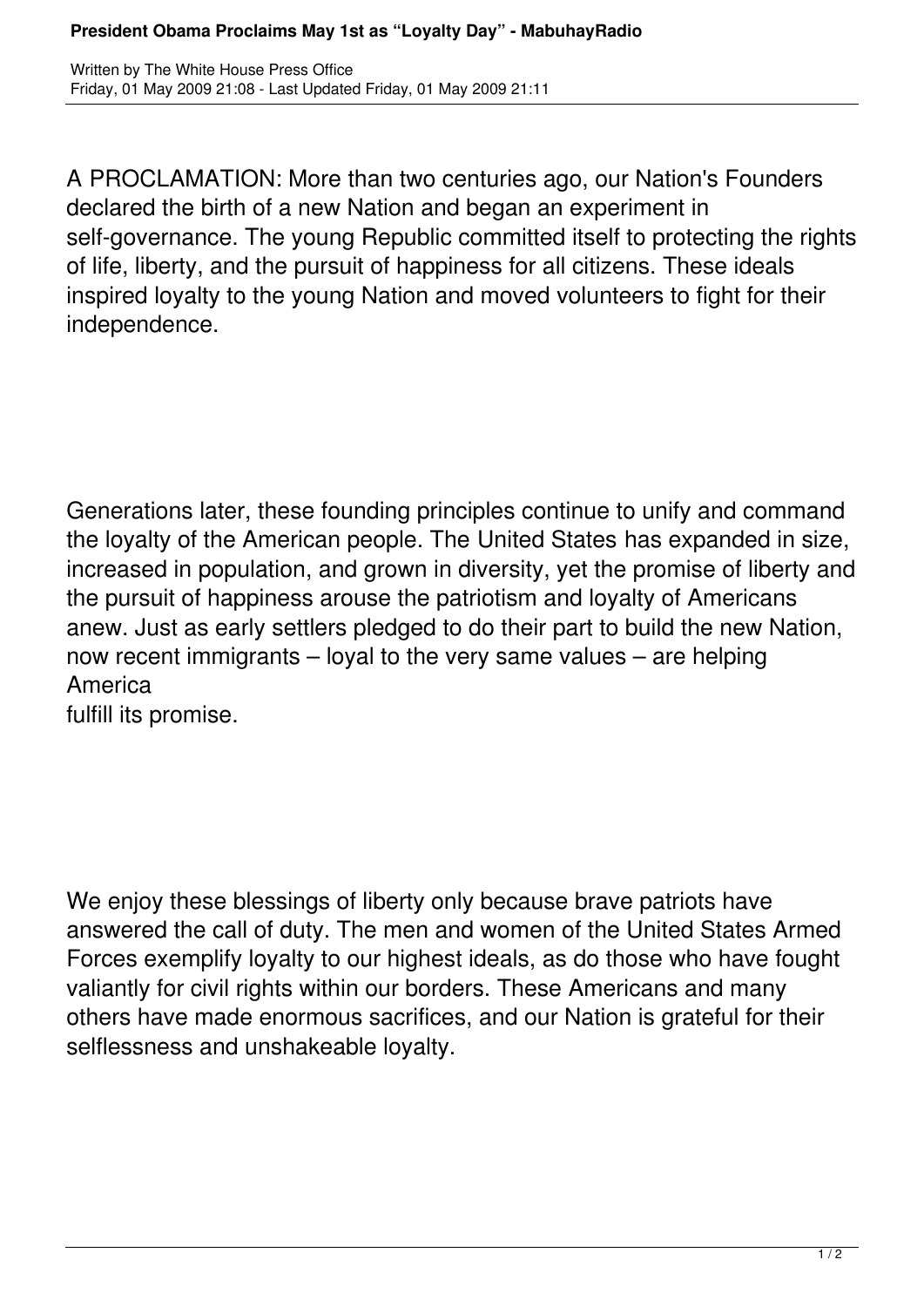A PROCLAMATION: More than two centuries ago, our Nation's Founders declared the birth of a new Nation and began an experiment in self-governance. The young Republic committed itself to protecting the rights of life, liberty, and the pursuit of happiness for all citizens. These ideals inspired loyalty to the young Nation and moved volunteers to fight for their independence.

Generations later, these founding principles continue to unify and command the loyalty of the American people. The United States has expanded in size, increased in population, and grown in diversity, yet the promise of liberty and the pursuit of happiness arouse the patriotism and loyalty of Americans anew. Just as early settlers pledged to do their part to build the new Nation, now recent immigrants – loyal to the very same values – are helping America

fulfill its promise.

We enjoy these blessings of liberty only because brave patriots have answered the call of duty. The men and women of the United States Armed Forces exemplify loyalty to our highest ideals, as do those who have fought valiantly for civil rights within our borders. These Americans and many others have made enormous sacrifices, and our Nation is grateful for their selflessness and unshakeable loyalty.